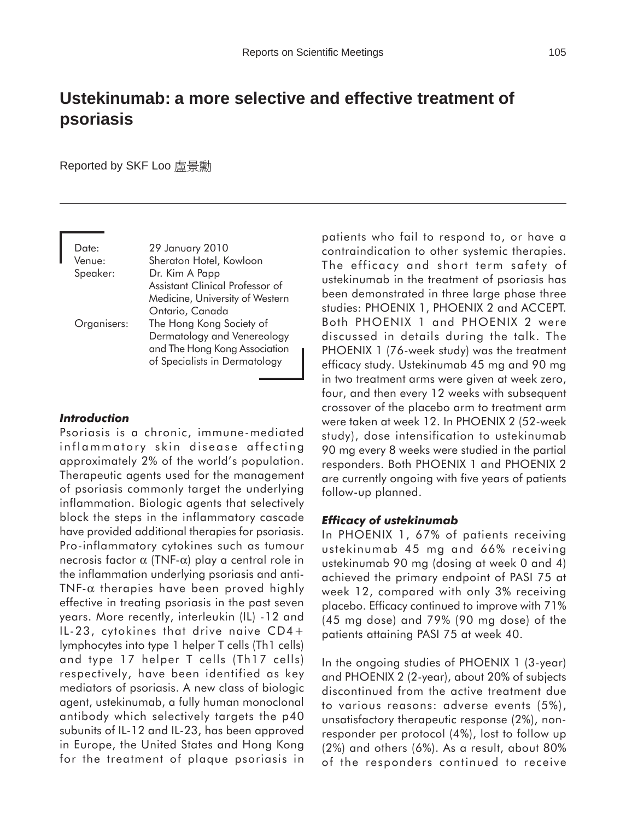# **Ustekinumab: a more selective and effective treatment of psoriasis**

Reported by SKF Loo 盧景勳

Date: 29 January 2010 Venue: Sheraton Hotel, Kowloon Speaker: Dr. Kim A Papp Assistant Clinical Professor of Medicine, University of Western Ontario, Canada Organisers: The Hong Kong Society of Dermatology and Venereology and The Hong Kong Association of Specialists in Dermatology

## *Introduction*

Psoriasis is a chronic, immune-mediated inflammatory skin disease affecting approximately 2% of the world's population. Therapeutic agents used for the management of psoriasis commonly target the underlying inflammation. Biologic agents that selectively block the steps in the inflammatory cascade have provided additional therapies for psoriasis. Pro-inflammatory cytokines such as tumour necrosis factor α (TNF-α) play a central role in the inflammation underlying psoriasis and anti-TNF- $\alpha$  therapies have been proved highly effective in treating psoriasis in the past seven years. More recently, interleukin (IL) -12 and IL-23, cytokines that drive naive CD4+ lymphocytes into type 1 helper T cells (Th1 cells) and type 17 helper T cells (Th17 cells) respectively, have been identified as key mediators of psoriasis. A new class of biologic agent, ustekinumab, a fully human monoclonal antibody which selectively targets the p40 subunits of IL-12 and IL-23, has been approved in Europe, the United States and Hong Kong for the treatment of plaque psoriasis in patients who fail to respond to, or have a contraindication to other systemic therapies. The efficacy and short term safety of ustekinumab in the treatment of psoriasis has been demonstrated in three large phase three studies: PHOENIX 1, PHOENIX 2 and ACCEPT. Both PHOENIX 1 and PHOENIX 2 were discussed in details during the talk. The PHOENIX 1 (76-week study) was the treatment efficacy study. Ustekinumab 45 mg and 90 mg in two treatment arms were given at week zero, four, and then every 12 weeks with subsequent crossover of the placebo arm to treatment arm were taken at week 12. In PHOENIX 2 (52-week study), dose intensification to ustekinumab 90 mg every 8 weeks were studied in the partial responders. Both PHOENIX 1 and PHOENIX 2 are currently ongoing with five years of patients follow-up planned.

## *Efficacy of ustekinumab*

In PHOENIX 1, 67% of patients receiving ustekinumab 45 mg and 66% receiving ustekinumab 90 mg (dosing at week 0 and 4) achieved the primary endpoint of PASI 75 at week 12, compared with only 3% receiving placebo. Efficacy continued to improve with 71% (45 mg dose) and 79% (90 mg dose) of the patients attaining PASI 75 at week 40.

In the ongoing studies of PHOENIX 1 (3-year) and PHOENIX 2 (2-year), about 20% of subjects discontinued from the active treatment due to various reasons: adverse events (5%), unsatisfactory therapeutic response (2%), nonresponder per protocol (4%), lost to follow up (2%) and others (6%). As a result, about 80% of the responders continued to receive